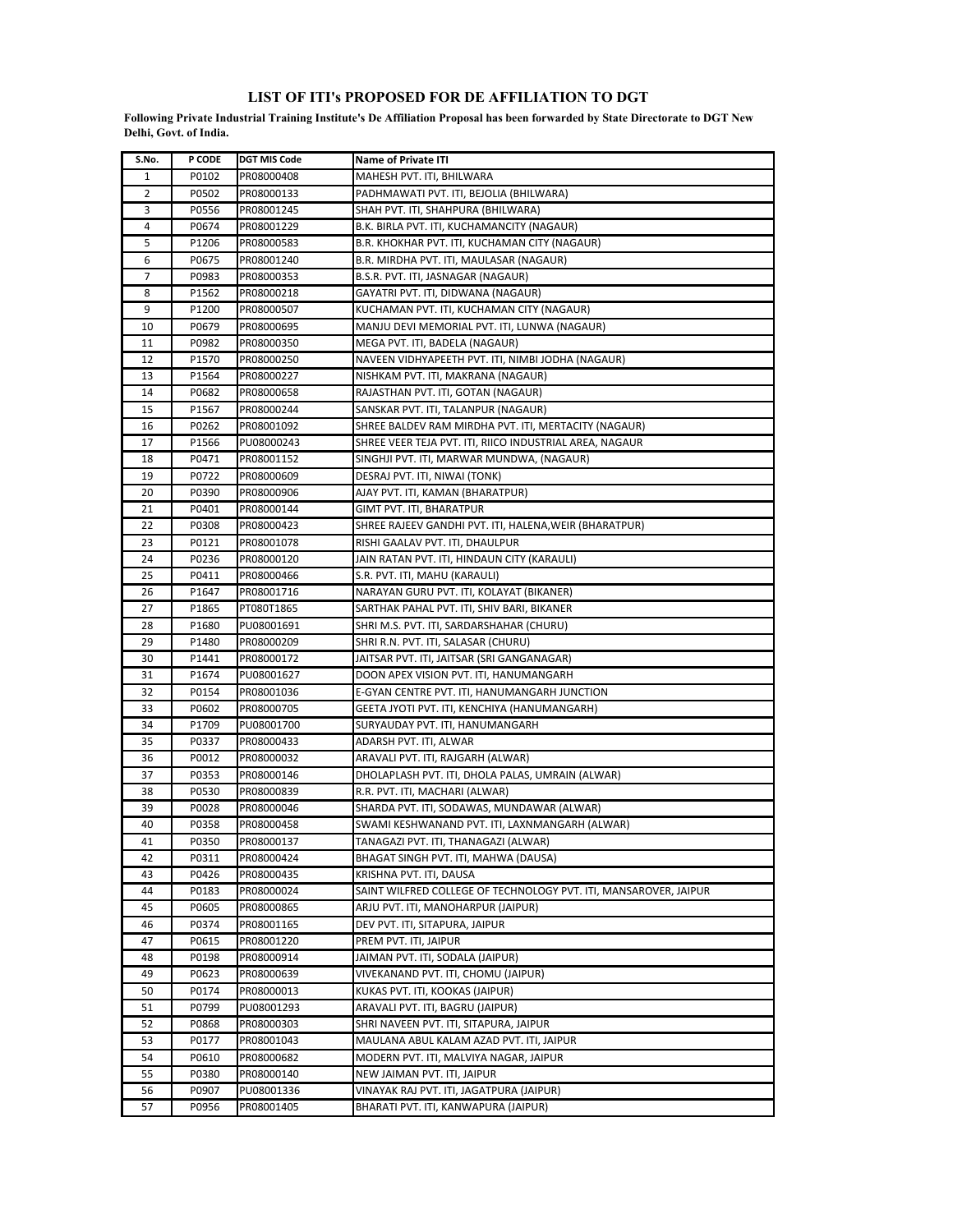## **LIST OF ITI's PROPOSED FOR DE AFFILIATION TO DGT**

**Following Private Industrial Training Institute's De Affiliation Proposal has been forwarded by State Directorate to DGT New Delhi, Govt. of India.** 

| S.No.    | P CODE         | <b>DGT MIS Code</b>      | Name of Private ITI                                                          |
|----------|----------------|--------------------------|------------------------------------------------------------------------------|
| 1        | P0102          | PR08000408               | MAHESH PVT. ITI, BHILWARA                                                    |
| 2        | P0502          | PR08000133               | PADHMAWATI PVT. ITI, BEJOLIA (BHILWARA)                                      |
| 3        | P0556          | PR08001245               | SHAH PVT. ITI, SHAHPURA (BHILWARA)                                           |
| 4        | P0674          | PR08001229               | B.K. BIRLA PVT. ITI, KUCHAMANCITY (NAGAUR)                                   |
| 5        | P1206          | PR08000583               | B.R. KHOKHAR PVT. ITI, KUCHAMAN CITY (NAGAUR)                                |
| 6        | P0675          | PR08001240               | B.R. MIRDHA PVT. ITI, MAULASAR (NAGAUR)                                      |
| 7        | P0983          | PR08000353               | B.S.R. PVT. ITI, JASNAGAR (NAGAUR)                                           |
| 8        | P1562          | PR08000218               | GAYATRI PVT. ITI, DIDWANA (NAGAUR)                                           |
| 9        | P1200          | PR08000507               | KUCHAMAN PVT. ITI, KUCHAMAN CITY (NAGAUR)                                    |
| 10       | P0679          | PR08000695               | MANJU DEVI MEMORIAL PVT. ITI, LUNWA (NAGAUR)                                 |
| 11       | P0982          | PR08000350               | MEGA PVT. ITI, BADELA (NAGAUR)                                               |
| 12       | P1570          | PR08000250               | NAVEEN VIDHYAPEETH PVT. ITI, NIMBI JODHA (NAGAUR)                            |
| 13       | P1564          | PR08000227               | NISHKAM PVT. ITI, MAKRANA (NAGAUR)                                           |
| 14       | P0682          | PR08000658               | RAJASTHAN PVT. ITI, GOTAN (NAGAUR)                                           |
| 15       | P1567          | PR08000244               | SANSKAR PVT. ITI, TALANPUR (NAGAUR)                                          |
| 16       | P0262          | PR08001092               | SHREE BALDEV RAM MIRDHA PVT. ITI, MERTACITY (NAGAUR)                         |
| 17       | P1566          | PU08000243               | SHREE VEER TEJA PVT. ITI, RIICO INDUSTRIAL AREA, NAGAUR                      |
| 18       | P0471          | PR08001152               | SINGHJI PVT. ITI, MARWAR MUNDWA, (NAGAUR)                                    |
| 19       | P0722          | PR08000609               | DESRAJ PVT. ITI, NIWAI (TONK)                                                |
| 20       | P0390          | PR08000906               | AJAY PVT. ITI, KAMAN (BHARATPUR)                                             |
| 21       | P0401          | PR08000144               | GIMT PVT. ITI, BHARATPUR                                                     |
| 22       | P0308          | PR08000423               | SHREE RAJEEV GANDHI PVT. ITI, HALENA,WEIR (BHARATPUR)                        |
| 23       | P0121          | PR08001078               | RISHI GAALAV PVT. ITI, DHAULPUR                                              |
| 24       | P0236          | PR08000120               | JAIN RATAN PVT. ITI, HINDAUN CITY (KARAULI)                                  |
| 25       | P0411          | PR08000466               | S.R. PVT. ITI, MAHU (KARAULI)                                                |
| 26       | P1647          | PR08001716               | NARAYAN GURU PVT. ITI, KOLAYAT (BIKANER)                                     |
| 27       | P1865          | PT080T1865               | SARTHAK PAHAL PVT. ITI, SHIV BARI, BIKANER                                   |
| 28       | P1680          | PU08001691               | SHRI M.S. PVT. ITI, SARDARSHAHAR (CHURU)                                     |
| 29       | P1480          | PR08000209               | SHRI R.N. PVT. ITI, SALASAR (CHURU)                                          |
| 30       | P1441          | PR08000172               | JAITSAR PVT. ITI, JAITSAR (SRI GANGANAGAR)                                   |
| 31       | P1674          | PU08001627               | DOON APEX VISION PVT. ITI, HANUMANGARH                                       |
| 32       | P0154          | PR08001036               | E-GYAN CENTRE PVT. ITI, HANUMANGARH JUNCTION                                 |
| 33       | P0602          | PR08000705               | GEETA JYOTI PVT. ITI, KENCHIYA (HANUMANGARH)                                 |
| 34       | P1709          | PU08001700               | SURYAUDAY PVT. ITI, HANUMANGARH                                              |
| 35       | P0337          | PR08000433               | ADARSH PVT. ITI, ALWAR                                                       |
| 36       | P0012          | PR08000032               | ARAVALI PVT. ITI, RAJGARH (ALWAR)                                            |
| 37       | P0353          | PR08000146               | DHOLAPLASH PVT. ITI, DHOLA PALAS, UMRAIN (ALWAR)                             |
| 38<br>39 | P0530          | PR08000839<br>PR08000046 | R.R. PVT. ITI, MACHARI (ALWAR)<br>SHARDA PVT. ITI, SODAWAS, MUNDAWAR (ALWAR) |
| 40       | P0028<br>P0358 | PR08000458               | SWAMI KESHWANAND PVT. ITI, LAXNMANGARH (ALWAR)                               |
| 41       | P0350          | PR08000137               | TANAGAZI PVT. ITI, THANAGAZI (ALWAR)                                         |
| 42       | P0311          | PR08000424               | BHAGAT SINGH PVT. ITI, MAHWA (DAUSA)                                         |
| 43       | P0426          | PR08000435               | KRISHNA PVT. ITI, DAUSA                                                      |
| 44       | P0183          | PR08000024               | SAINT WILFRED COLLEGE OF TECHNOLOGY PVT. ITI, MANSAROVER, JAIPUR             |
| 45       | P0605          | PR08000865               | ARJU PVT. ITI, MANOHARPUR (JAIPUR)                                           |
| 46       | P0374          | PR08001165               | DEV PVT. ITI, SITAPURA, JAIPUR                                               |
| 47       | P0615          | PR08001220               | PREM PVT. ITI, JAIPUR                                                        |
| 48       | P0198          | PR08000914               | JAIMAN PVT. ITI, SODALA (JAIPUR)                                             |
| 49       | P0623          | PR08000639               | VIVEKANAND PVT. ITI, CHOMU (JAIPUR)                                          |
| 50       | P0174          | PR08000013               | KUKAS PVT. ITI, KOOKAS (JAIPUR)                                              |
| 51       | P0799          | PU08001293               | ARAVALI PVT. ITI, BAGRU (JAIPUR)                                             |
| 52       | P0868          | PR08000303               | SHRI NAVEEN PVT. ITI, SITAPURA, JAIPUR                                       |
| 53       | P0177          | PR08001043               | MAULANA ABUL KALAM AZAD PVT. ITI, JAIPUR                                     |
| 54       | P0610          | PR08000682               | MODERN PVT. ITI, MALVIYA NAGAR, JAIPUR                                       |
| 55       | P0380          | PR08000140               | NEW JAIMAN PVT. ITI, JAIPUR                                                  |
| 56       | P0907          | PU08001336               | VINAYAK RAJ PVT. ITI, JAGATPURA (JAIPUR)                                     |
| 57       | P0956          | PR08001405               | BHARATI PVT. ITI, KANWAPURA (JAIPUR)                                         |
|          |                |                          |                                                                              |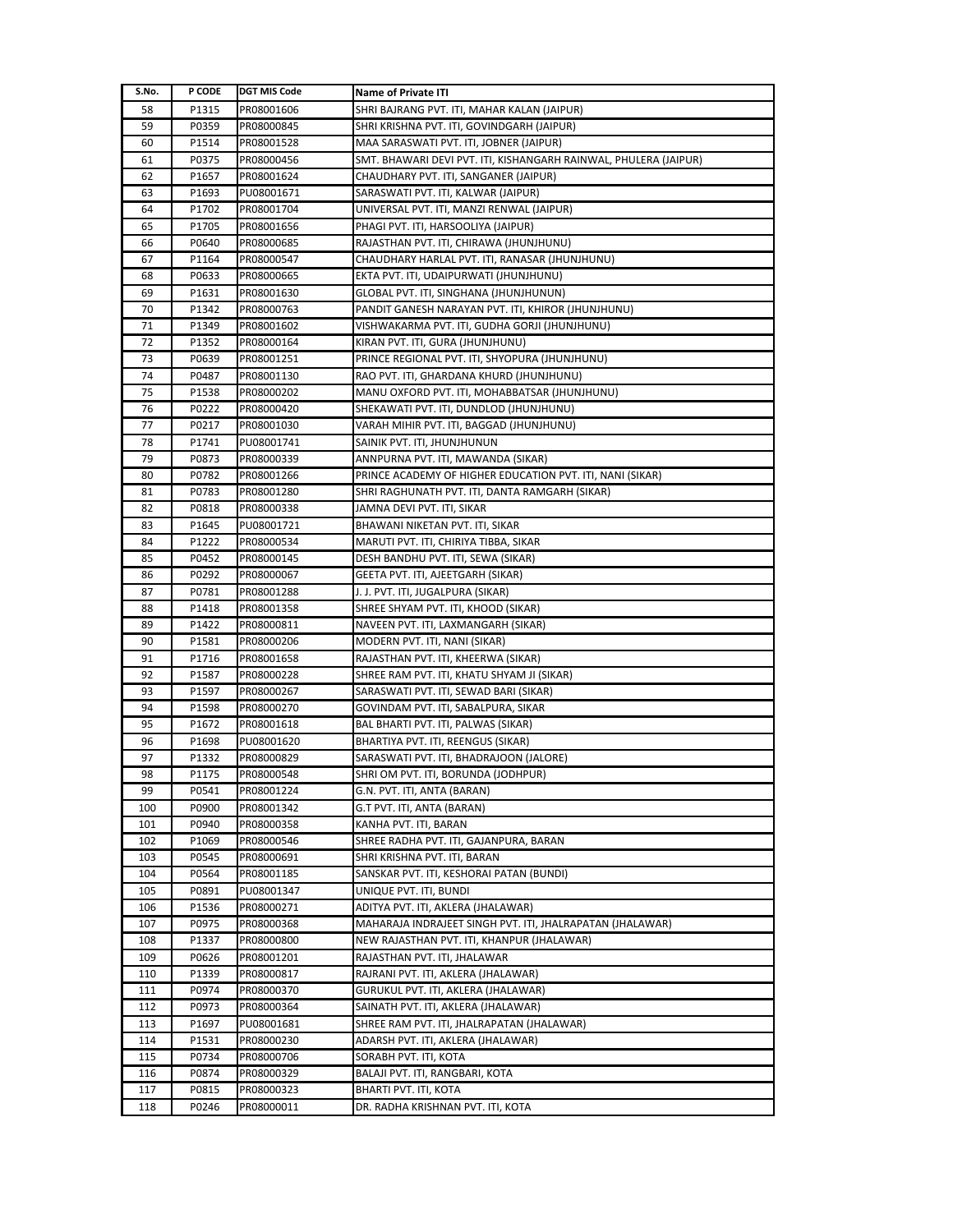| S.No. | P CODE | <b>DGT MIS Code</b> | <b>Name of Private ITI</b>                                       |
|-------|--------|---------------------|------------------------------------------------------------------|
| 58    | P1315  | PR08001606          | SHRI BAJRANG PVT. ITI, MAHAR KALAN (JAIPUR)                      |
| 59    | P0359  | PR08000845          | SHRI KRISHNA PVT. ITI, GOVINDGARH (JAIPUR)                       |
| 60    | P1514  | PR08001528          | MAA SARASWATI PVT. ITI, JOBNER (JAIPUR)                          |
| 61    | P0375  | PR08000456          | SMT. BHAWARI DEVI PVT. ITI, KISHANGARH RAINWAL, PHULERA (JAIPUR) |
| 62    | P1657  | PR08001624          | CHAUDHARY PVT. ITI, SANGANER (JAIPUR)                            |
| 63    | P1693  | PU08001671          | SARASWATI PVT. ITI, KALWAR (JAIPUR)                              |
| 64    | P1702  | PR08001704          | UNIVERSAL PVT. ITI, MANZI RENWAL (JAIPUR)                        |
| 65    | P1705  | PR08001656          | PHAGI PVT. ITI, HARSOOLIYA (JAIPUR)                              |
| 66    | P0640  | PR08000685          | RAJASTHAN PVT. ITI, CHIRAWA (JHUNJHUNU)                          |
| 67    | P1164  | PR08000547          | CHAUDHARY HARLAL PVT. ITI, RANASAR (JHUNJHUNU)                   |
| 68    | P0633  | PR08000665          | EKTA PVT. ITI, UDAIPURWATI (JHUNJHUNU)                           |
| 69    | P1631  | PR08001630          | GLOBAL PVT. ITI, SINGHANA (JHUNJHUNUN)                           |
| 70    | P1342  | PR08000763          | PANDIT GANESH NARAYAN PVT. ITI, KHIROR (JHUNJHUNU)               |
| 71    | P1349  | PR08001602          | VISHWAKARMA PVT. ITI, GUDHA GORJI (JHUNJHUNU)                    |
| 72    | P1352  | PR08000164          | KIRAN PVT. ITI, GURA (JHUNJHUNU)                                 |
| 73    | P0639  | PR08001251          | PRINCE REGIONAL PVT. ITI, SHYOPURA (JHUNJHUNU)                   |
| 74    | P0487  | PR08001130          | RAO PVT. ITI, GHARDANA KHURD (JHUNJHUNU)                         |
| 75    | P1538  | PR08000202          | MANU OXFORD PVT. ITI, MOHABBATSAR (JHUNJHUNU)                    |
| 76    | P0222  | PR08000420          | SHEKAWATI PVT. ITI, DUNDLOD (JHUNJHUNU)                          |
| 77    | P0217  | PR08001030          | VARAH MIHIR PVT. ITI, BAGGAD (JHUNJHUNU)                         |
| 78    | P1741  | PU08001741          | SAINIK PVT. ITI, JHUNJHUNUN                                      |
| 79    | P0873  | PR08000339          | ANNPURNA PVT. ITI, MAWANDA (SIKAR)                               |
| 80    | P0782  | PR08001266          | PRINCE ACADEMY OF HIGHER EDUCATION PVT. ITI, NANI (SIKAR)        |
| 81    | P0783  | PR08001280          | SHRI RAGHUNATH PVT. ITI, DANTA RAMGARH (SIKAR)                   |
| 82    | P0818  | PR08000338          | JAMNA DEVI PVT. ITI, SIKAR                                       |
| 83    | P1645  | PU08001721          | BHAWANI NIKETAN PVT. ITI, SIKAR                                  |
| 84    | P1222  | PR08000534          | MARUTI PVT. ITI, CHIRIYA TIBBA, SIKAR                            |
| 85    | P0452  | PR08000145          | DESH BANDHU PVT. ITI, SEWA (SIKAR)                               |
| 86    | P0292  | PR08000067          | GEETA PVT. ITI, AJEETGARH (SIKAR)                                |
| 87    | P0781  | PR08001288          | J. J. PVT. ITI, JUGALPURA (SIKAR)                                |
| 88    | P1418  | PR08001358          | SHREE SHYAM PVT. ITI, KHOOD (SIKAR)                              |
| 89    | P1422  | PR08000811          | NAVEEN PVT. ITI, LAXMANGARH (SIKAR)                              |
| 90    | P1581  | PR08000206          | MODERN PVT. ITI, NANI (SIKAR)                                    |
| 91    | P1716  | PR08001658          | RAJASTHAN PVT. ITI, KHEERWA (SIKAR)                              |
| 92    | P1587  | PR08000228          | SHREE RAM PVT. ITI, KHATU SHYAM JI (SIKAR)                       |
| 93    | P1597  | PR08000267          | SARASWATI PVT. ITI, SEWAD BARI (SIKAR)                           |
| 94    | P1598  | PR08000270          | GOVINDAM PVT. ITI, SABALPURA, SIKAR                              |
| 95    | P1672  | PR08001618          | BAL BHARTI PVT. ITI, PALWAS (SIKAR)                              |
| 96    | P1698  | PU08001620          | BHARTIYA PVT. ITI, REENGUS (SIKAR)                               |
| 97    | P1332  | PR08000829          | SARASWATI PVT. ITI, BHADRAJOON (JALORE)                          |
| 98    | P1175  | PR08000548          | SHRI OM PVT. ITI, BORUNDA (JODHPUR)                              |
| 99    | P0541  | PR08001224          | G.N. PVT. ITI, ANTA (BARAN)                                      |
| 100   | P0900  | PR08001342          | G.T PVT. ITI, ANTA (BARAN)                                       |
| 101   | P0940  | PR08000358          | KANHA PVT. ITI, BARAN                                            |
| 102   | P1069  | PR08000546          | SHREE RADHA PVT. ITI, GAJANPURA, BARAN                           |
| 103   | P0545  | PR08000691          | SHRI KRISHNA PVT. ITI, BARAN                                     |
| 104   | P0564  | PR08001185          | SANSKAR PVT. ITI, KESHORAI PATAN (BUNDI)                         |
| 105   | P0891  | PU08001347          | UNIQUE PVT. ITI, BUNDI                                           |
| 106   | P1536  | PR08000271          | ADITYA PVT. ITI, AKLERA (JHALAWAR)                               |
| 107   | P0975  | PR08000368          | MAHARAJA INDRAJEET SINGH PVT. ITI, JHALRAPATAN (JHALAWAR)        |
| 108   | P1337  | PR08000800          | NEW RAJASTHAN PVT. ITI, KHANPUR (JHALAWAR)                       |
| 109   | P0626  | PR08001201          | RAJASTHAN PVT. ITI, JHALAWAR                                     |
| 110   | P1339  | PR08000817          | RAJRANI PVT. ITI, AKLERA (JHALAWAR)                              |
| 111   | P0974  | PR08000370          | GURUKUL PVT. ITI, AKLERA (JHALAWAR)                              |
| 112   | P0973  | PR08000364          | SAINATH PVT. ITI, AKLERA (JHALAWAR)                              |
| 113   | P1697  | PU08001681          | SHREE RAM PVT. ITI, JHALRAPATAN (JHALAWAR)                       |
| 114   | P1531  | PR08000230          | ADARSH PVT. ITI, AKLERA (JHALAWAR)                               |
| 115   | P0734  | PR08000706          | SORABH PVT. ITI, KOTA                                            |
| 116   | P0874  | PR08000329          | BALAJI PVT. ITI, RANGBARI, KOTA                                  |
| 117   | P0815  | PR08000323          | BHARTI PVT. ITI, KOTA                                            |
| 118   | P0246  | PR08000011          | DR. RADHA KRISHNAN PVT. ITI, KOTA                                |